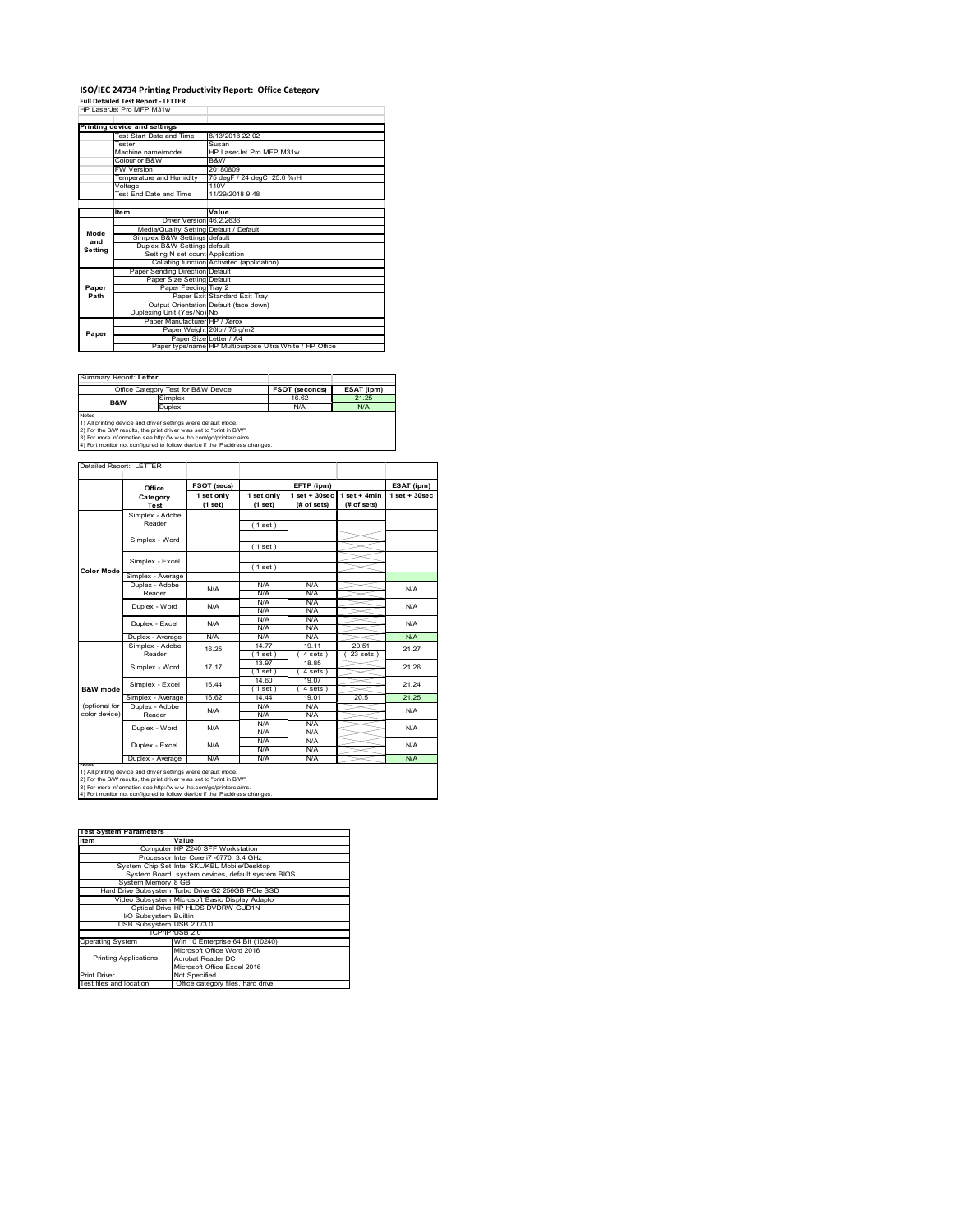# **ISO/IEC 24734 Printing Productivity Report: Office Category Full Detailed Test Report ‐ LETTER** HP LaserJet Pro MFP M31w

|  | HP LaserJet Pro MFP M31w |  |  |
|--|--------------------------|--|--|
|  |                          |  |  |

|         | Printing device and settings            |                                                         |
|---------|-----------------------------------------|---------------------------------------------------------|
|         | Test Start Date and Time                | 8/13/2018 22:02                                         |
|         | <b>Tester</b>                           | Susan                                                   |
|         | Machine name/model                      | HP LaserJet Pro MFP M31w                                |
|         | Colour or B&W                           | B&W                                                     |
|         | <b>FW Version</b>                       | 20180809                                                |
|         | Temperature and Humidity                | 75 degF / 24 degC 25.0 %rH                              |
|         | Voltage                                 | 110V                                                    |
|         | Test End Date and Time                  | 11/29/2018 9:48                                         |
|         |                                         |                                                         |
|         | <b>Item</b>                             | Value                                                   |
|         | Driver Version 46.2.2636                |                                                         |
| Mode    | Media/Quality Setting Default / Default |                                                         |
| and     | Simplex B&W Settings default            |                                                         |
| Settina | Duplex B&W Settings default             |                                                         |
|         | Setting N set count Application         |                                                         |
|         |                                         | Collating function Activated (application)              |
|         | Paper Sending Direction Default         |                                                         |
|         | Paper Size Setting Default              |                                                         |
| Paper   | Paper Feeding Tray 2                    |                                                         |
| Path    |                                         | Paper Exit Standard Exit Tray                           |
|         |                                         | Output Orientation Default (face down)                  |
|         | Duplexing Unit (Yes/No) No              |                                                         |
|         | Paper Manufacturer HP / Xerox           |                                                         |
| Paper   |                                         | Paper Weight 20lb / 75 g/m2                             |
|         | Paper Size Letter / A4                  |                                                         |
|         |                                         | Paper type/name HP Multipurpose Ultra White / HP Office |

| Summary Report: Letter                                                     |                                     |                       |            |  |  |  |
|----------------------------------------------------------------------------|-------------------------------------|-----------------------|------------|--|--|--|
|                                                                            | Office Category Test for B&W Device | <b>FSOT (seconds)</b> | ESAT (ipm) |  |  |  |
| <b>B&amp;W</b>                                                             | Simplex                             | 16.62                 | 21 25      |  |  |  |
|                                                                            | Duplex                              | N/A                   | N/A        |  |  |  |
| <b>Notes</b>                                                               |                                     |                       |            |  |  |  |
| 1) All printing device and driver settings were default mode.              |                                     |                       |            |  |  |  |
| 2) For the B/W results, the print driver was set to "print in B/W".        |                                     |                       |            |  |  |  |
| 3) For more information see http://www.hp.com/go/printerclaims.            |                                     |                       |            |  |  |  |
| 4) Port monitor not configured to follow device if the IP address changes. |                                     |                       |            |  |  |  |

|                   | Office            | FSOT (secs)           |                       | EFTP (ipm)                        |                               | ESAT (ipm)        |  |
|-------------------|-------------------|-----------------------|-----------------------|-----------------------------------|-------------------------------|-------------------|--|
|                   | Category<br>Test  | 1 set only<br>(1 set) | 1 set only<br>(1 set) | $1$ set + $30$ sec<br>(# of sets) | $1$ set + 4min<br>(# of sets) | $1$ set $+30$ sec |  |
|                   | Simplex - Adobe   |                       |                       |                                   |                               |                   |  |
|                   | Reader            |                       | (1 set)               |                                   |                               |                   |  |
|                   |                   |                       |                       |                                   |                               |                   |  |
|                   | Simplex - Word    |                       | (1 set)               |                                   |                               |                   |  |
|                   | Simplex - Excel   |                       |                       |                                   |                               |                   |  |
| <b>Color Mode</b> |                   |                       | (1 set)               |                                   |                               |                   |  |
|                   | Simplex - Average |                       |                       |                                   |                               |                   |  |
|                   | Duplex - Adobe    | N/A                   | N/A                   | N/A                               |                               | N/A               |  |
|                   | Reader            |                       | N/A                   | N/A                               |                               |                   |  |
|                   | Duplex - Word     | N/A                   | N/A                   | N/A                               |                               | N/A               |  |
|                   |                   |                       | N/A                   | N/A                               |                               |                   |  |
|                   | Duplex - Excel    | N/A                   | N/A                   | N/A                               |                               | N/A               |  |
|                   |                   |                       | N/A                   | N/A                               |                               |                   |  |
|                   | Duplex - Average  | N/A                   | N/A                   | N/A                               |                               | <b>N/A</b>        |  |
|                   | Simplex - Adobe   | 16.25                 | 14.77                 | 19.11                             | 20.51                         | 21.27             |  |
|                   | Reader            |                       | 1 set                 | 4 sets )                          | 23 sets                       |                   |  |
|                   | Simplex - Word    | 17.17                 | 13.97                 | 18.85                             |                               | 21.26             |  |
|                   |                   |                       | $1$ set)              | 4 sets)                           |                               |                   |  |
|                   | Simplex - Excel   | 16 44                 | 14.60                 | 19.07                             |                               | 21 24             |  |
| B&W mode          |                   |                       | (1 set )              | 4 sets)                           |                               |                   |  |
|                   | Simplex - Average | 16.62                 | 14.44                 | 19.01                             | 20.5                          | 21.25             |  |
| (optional for     | Duplex - Adobe    | N/A                   | N/A                   | N/A                               |                               | N/A               |  |
| color device)     | Reader            |                       | N/A                   | N/A                               |                               |                   |  |
|                   | Duplex - Word     | N/A                   | N/A                   | N/A                               |                               | N/A               |  |
|                   |                   |                       | N/A                   | N/A                               |                               |                   |  |
|                   | Duplex - Excel    | N/A                   | N/A                   | N/A                               |                               | N/A               |  |
|                   |                   |                       | N/A                   | N/A                               |                               |                   |  |
|                   | Duplex - Average  | N/A                   | N/A                   | N/A                               |                               | N/A               |  |

2) For the B/W results, the print driver w as set to "print in B/W".<br>3) For more information see http://w w w .hp.com/go/printerclaims.<br>4) Port monitor not configured to follow device if the IP address changes.

| <b>Test System Parameters</b> |                                                    |
|-------------------------------|----------------------------------------------------|
| Item                          | Value                                              |
|                               | Computer HP Z240 SFF Workstation                   |
|                               | Processor Intel Core i7 -6770, 3.4 GHz             |
|                               | System Chip Set Intel SKL/KBL Mobile/Desktop       |
|                               | System Board system devices, default system BIOS   |
| System Memory 8 GB            |                                                    |
|                               | Hard Drive Subsystem Turbo Drive G2 256GB PCle SSD |
|                               | Video Subsystem Microsoft Basic Display Adaptor    |
|                               | Optical Drive HP HLDS DVDRW GUD1N                  |
| I/O Subsystem Builtin         |                                                    |
| USB Subsystem USB 2.0/3.0     |                                                    |
|                               | TCP/IPIUSB 2.0                                     |
| <b>Operating System</b>       | Win 10 Enterprise 64 Bit (10240)                   |
|                               | Microsoft Office Word 2016                         |
| <b>Printing Applications</b>  | Acrobat Reader DC                                  |
|                               | Microsoft Office Excel 2016                        |
| <b>Print Driver</b>           | Not Specified                                      |
| Test files and location       | Office category files, hard drive                  |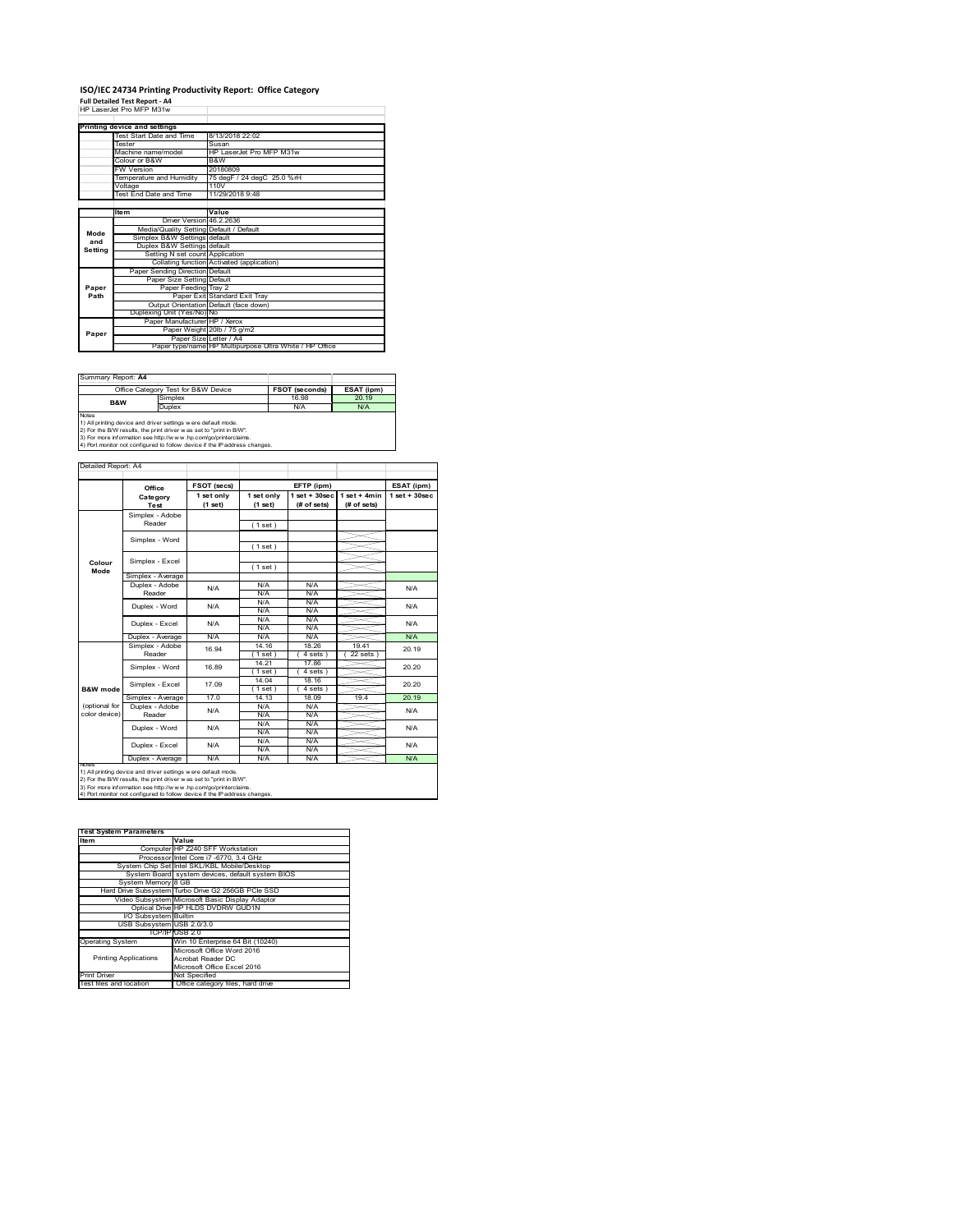### **ISO/IEC 24734 Printing Productivity Report: Office Category Full Detailed Test Report ‐ A4** HP LaserJet Pro MFP M31w

|         | HP Laser. Jet Pro MEP Mistw             |                                                         |
|---------|-----------------------------------------|---------------------------------------------------------|
|         |                                         |                                                         |
|         | Printing device and settings            |                                                         |
|         | Test Start Date and Time                | 8/13/2018 22:02                                         |
|         | <b>Tester</b>                           | Susan                                                   |
|         | Machine name/model                      | HP LaserJet Pro MFP M31w                                |
|         | Colour or B&W                           | B&W                                                     |
|         | <b>FW Version</b>                       | 20180809                                                |
|         | Temperature and Humidity                | 75 degF / 24 degC 25.0 %rH                              |
|         | Voltage                                 | 110V                                                    |
|         | Test End Date and Time                  | 11/29/2018 9:48                                         |
|         |                                         |                                                         |
|         | <b>Item</b>                             | Value                                                   |
|         | Driver Version 46.2.2636                |                                                         |
| Mode    | Media/Quality Setting Default / Default |                                                         |
| and     | Simplex B&W Settings default            |                                                         |
| Setting | Duplex B&W Settings default             |                                                         |
|         | Setting N set count Application         |                                                         |
|         |                                         | Collating function Activated (application)              |
|         | Paper Sending Direction Default         |                                                         |
|         | Paper Size Setting Default              |                                                         |
| Paper   | Paper Feeding Tray 2                    |                                                         |
| Path    |                                         | Paper Exit Standard Exit Tray                           |
|         |                                         | Output Orientation Default (face down)                  |
|         | Duplexing Unit (Yes/No) No              |                                                         |
|         | Paper Manufacturer HP / Xerox           |                                                         |
| Paper   |                                         | Paper Weight 20lb / 75 g/m2                             |
|         |                                         | Paper Size Letter / A4                                  |
|         |                                         | Paper type/name HP Multipurpose Ultra White / HP Office |

| Office Category Test for B&W Device                                                                                                                                                                                                                                                                   |       | ESAT (ipm)            |  |  |  |
|-------------------------------------------------------------------------------------------------------------------------------------------------------------------------------------------------------------------------------------------------------------------------------------------------------|-------|-----------------------|--|--|--|
| Simplex                                                                                                                                                                                                                                                                                               | 16.98 | 20.19                 |  |  |  |
| Duplex                                                                                                                                                                                                                                                                                                | N/A   | N/A                   |  |  |  |
| <b>Notes</b><br>1) All printing device and driver settings were default mode.<br>2) For the B/W results, the print driver was set to "print in B/W".<br>3) For more information see http://www.hp.com/go/printerclaims.<br>4) Port monitor not configured to follow device if the IP address changes. |       |                       |  |  |  |
|                                                                                                                                                                                                                                                                                                       |       | <b>FSOT (seconds)</b> |  |  |  |

**FSOT (secs) ESAT (ipm) EFTP (ipm) Office 1 set only (1 set) 1 set only (1 set) 1 set + 30sec (# of sets) 1 set + 4min (# of sets) 1 set + 30sec** ( 1 set ) ( 1 set ) ( 1 set ) Simplex - Average Duplex - Adobe N/A N/A N/A<br>N/A N/A N/A N/A N/A N/A N/A  $\frac{N}{N}$ Duplex - Average N/A N/A N/A N/A N/A N/A<br>Simplex - Adobe <sub>40 04</sub> 14.16 18.26 19.41 00.4 14.16 18.26 19.41  $(4 \text{ sets}) (22 \text{ sets})$ 14.21 17.86 ( 1 set ) ( 4 sets ) 14.04 18.16 1 set ) (4 sets<br>14.13 18.09 Simplex - Average 17.0 14.13 18.09 19.4 20.19<br>
Duplex - Adobe N/A N/A N/A N/A N/A N/A N/A N/A N/A N/A N/A N/A<br>N/A N/A N/A N/A N/A N/A<br>N/A N/A<br>N/A N/A N/A<br>N/A Duplex - Average N/A N/A N/A N/A N/A N/A Duplex - Word Duplex - Excel N/A N/A N/A N/A N/A 20.19 20.20 20.20 N/A N/A Reader Simplex - Word 16.89 Duplex - Excel 16.94 notes<br>1) All printing device and driver settings were default mode.<br>2) For the B/W results, the print driver was set to "print in B/W".<br>3) For more information see http://www.hp.com/go/printerclaims.<br>4) Por moralitor not c **B&W mode** (optional for color device) **Colour Mode** Simplex - Adobe Reader Simplex - Excel Simplex - Word Simplex - Excel 17.09 Reader Duplex - Word ailed Report: A4 **Category Test** N/A  $N/A$   $N/A$   $N/A$   $N/A$   $N/A$ N/A

**Item Value Test System Parameters**Computer HP Z240 SFF Workstation Processor Intel Core i7 -6770, 3.4 GHz System Chip Set Intel SKL/KBL Mobile/Desktop System Board system devices, default system BIOS System Memory 8 GB Hard Drive Subsystem Turbo Drive G2 256GB PCIe SSD Video Subsystem Microsoft Basic Display Adaptor Optical Drive HP HLDS DVDRW GUD1N I/O Subsystem Builtin USB Subsystem USB 2.0/3.0 TCP/IP USB 2.0<br>
Win 10 Enterprise 64 Bit (10240)<br>
Microsoft Office Word 2016<br>
Printing Applications<br>
Acrobat Reader DC<br>
Microsoft Office Excel 2016 Printing Applications Print Driver Mot Specified<br>Test files and location Office category files, hard drive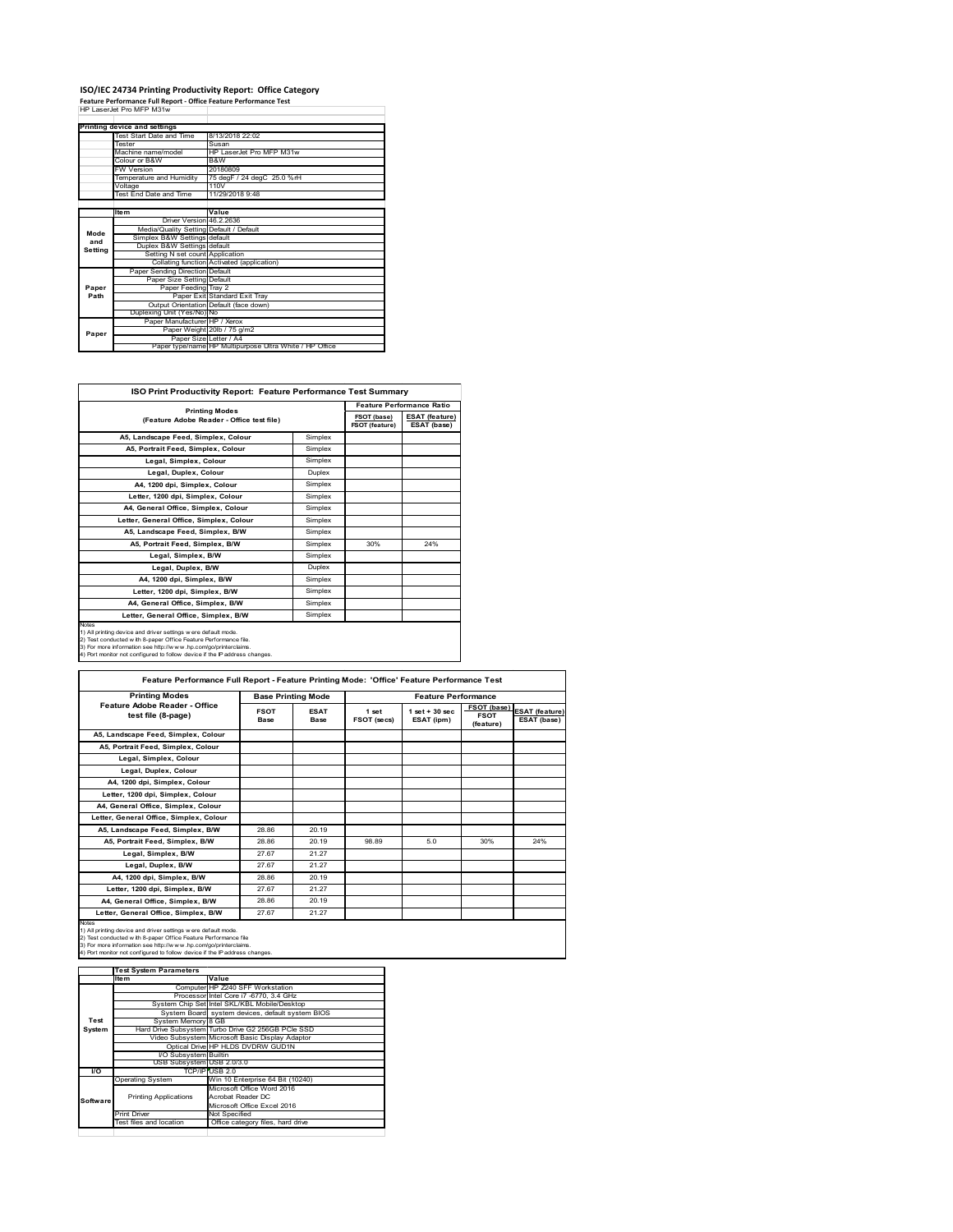## **ISO/IEC 24734 Printing Productivity Report: Office Category Feature Performance Full Report ‐ Office Feature Performance Test** HP LaserJet Pro MFP M31w

|                          | Printing device and settings            |                                                         |
|--------------------------|-----------------------------------------|---------------------------------------------------------|
| Test Start Date and Time |                                         | 8/13/2018 22:02                                         |
| <b>Tester</b>            |                                         | Susan                                                   |
|                          | Machine name/model                      | HP LaserJet Pro MFP M31w                                |
|                          | Colour or B&W                           | B&W                                                     |
|                          | <b>FW Version</b>                       | 20180809                                                |
|                          | Temperature and Humidity                | 75 degF / 24 degC 25.0 %rH                              |
|                          | Voltage                                 | 110V                                                    |
|                          | Test End Date and Time                  | 11/29/2018 9:48                                         |
|                          |                                         |                                                         |
|                          | <b>Item</b>                             | Value                                                   |
|                          | Driver Version 46.2.2636                |                                                         |
| Mode                     | Media/Quality Setting Default / Default |                                                         |
| and                      | Simplex B&W Settings default            |                                                         |
| Setting                  | Duplex B&W Settings default             |                                                         |
|                          | Setting N set count Application         |                                                         |
|                          |                                         | Collating function Activated (application)              |
|                          | Paper Sending Direction Default         |                                                         |
|                          | Paper Size Setting Default              |                                                         |
| Paper                    | Paper Feeding Tray 2                    |                                                         |
| Path                     |                                         | Paper Exit Standard Exit Tray                           |
|                          |                                         | Output Orientation Default (face down)                  |
|                          | Duplexing Unit (Yes/No) No              |                                                         |
|                          | Paper Manufacturer HP / Xerox           |                                                         |
| Paper                    |                                         | Paper Weight 20lb / 75 g/m2                             |
|                          | Paper Size Letter / A4                  |                                                         |
|                          |                                         | Paper type/name HP Multipurpose Ultra White / HP Office |
|                          |                                         |                                                         |

| <b>ISO Print Productivity Report: Feature Performance Test Summary</b>                                                                                                                                                                                                                             |                       |     |                                      |  |  |
|----------------------------------------------------------------------------------------------------------------------------------------------------------------------------------------------------------------------------------------------------------------------------------------------------|-----------------------|-----|--------------------------------------|--|--|
|                                                                                                                                                                                                                                                                                                    |                       |     |                                      |  |  |
| (Feature Adobe Reader - Office test file)                                                                                                                                                                                                                                                          | <b>Printing Modes</b> |     | <b>ESAT (feature)</b><br>ESAT (base) |  |  |
| A5, Landscape Feed, Simplex, Colour                                                                                                                                                                                                                                                                | Simplex               |     |                                      |  |  |
| A5, Portrait Feed, Simplex, Colour                                                                                                                                                                                                                                                                 | Simplex               |     |                                      |  |  |
| Legal, Simplex, Colour                                                                                                                                                                                                                                                                             | Simplex               |     |                                      |  |  |
| Legal, Duplex, Colour                                                                                                                                                                                                                                                                              | Duplex                |     |                                      |  |  |
| A4, 1200 dpi, Simplex, Colour                                                                                                                                                                                                                                                                      | Simplex               |     |                                      |  |  |
| Letter, 1200 dpi, Simplex, Colour                                                                                                                                                                                                                                                                  | Simplex               |     |                                      |  |  |
| A4. General Office. Simplex. Colour                                                                                                                                                                                                                                                                | Simplex               |     |                                      |  |  |
| Letter, General Office, Simplex, Colour                                                                                                                                                                                                                                                            | Simplex               |     |                                      |  |  |
| A5, Landscape Feed, Simplex, B/W                                                                                                                                                                                                                                                                   | Simplex               |     |                                      |  |  |
| A5, Portrait Feed, Simplex, B/W                                                                                                                                                                                                                                                                    | Simplex               | 30% | 24%                                  |  |  |
| Legal, Simplex, B/W                                                                                                                                                                                                                                                                                | Simplex               |     |                                      |  |  |
| Legal, Duplex, B/W                                                                                                                                                                                                                                                                                 | Duplex                |     |                                      |  |  |
| A4, 1200 dpi, Simplex, B/W                                                                                                                                                                                                                                                                         | Simplex               |     |                                      |  |  |
| Letter, 1200 dpi, Simplex, B/W                                                                                                                                                                                                                                                                     | Simplex               |     |                                      |  |  |
| A4, General Office, Simplex, B/W                                                                                                                                                                                                                                                                   | Simplex               |     |                                      |  |  |
| Letter, General Office, Simplex, B/W                                                                                                                                                                                                                                                               | Simplex               |     |                                      |  |  |
| <b>Notes</b><br>1) All printing device and driver settings w ere default mode.<br>2) Test conducted with 8-paper Office Feature Performance file.<br>3) For more information see http://www.hp.com/go/printerclaims.<br>4) Port monitor not configured to follow device if the IP address changes. |                       |     |                                      |  |  |

| <b>Printing Modes</b>                               |                     | <b>Base Printing Mode</b> | <b>Feature Performance</b> |                                  |                                         |                                      |
|-----------------------------------------------------|---------------------|---------------------------|----------------------------|----------------------------------|-----------------------------------------|--------------------------------------|
| Feature Adobe Reader - Office<br>test file (8-page) | <b>FSOT</b><br>Base | <b>ESAT</b><br>Base       | 1 set<br>FSOT (secs)       | $1$ set $+30$ sec.<br>ESAT (ipm) | FSOT (base)<br><b>FSOT</b><br>(feature) | <b>ESAT (feature)</b><br>ESAT (base) |
| A5. Landscape Feed. Simplex. Colour                 |                     |                           |                            |                                  |                                         |                                      |
| A5, Portrait Feed, Simplex, Colour                  |                     |                           |                            |                                  |                                         |                                      |
| Legal, Simplex, Colour                              |                     |                           |                            |                                  |                                         |                                      |
| Legal, Duplex, Colour                               |                     |                           |                            |                                  |                                         |                                      |
| A4. 1200 dpi. Simplex. Colour                       |                     |                           |                            |                                  |                                         |                                      |
| Letter, 1200 dpi, Simplex, Colour                   |                     |                           |                            |                                  |                                         |                                      |
| A4, General Office, Simplex, Colour                 |                     |                           |                            |                                  |                                         |                                      |
| Letter, General Office, Simplex, Colour             |                     |                           |                            |                                  |                                         |                                      |
| A5, Landscape Feed, Simplex, B/W                    | 28.86               | 20.19                     |                            |                                  |                                         |                                      |
| A5, Portrait Feed, Simplex, B/W                     | 28.86               | 20.19                     | 98.89                      | 5.0                              | 30%                                     | 24%                                  |
| Legal, Simplex, B/W                                 | 27.67               | 21.27                     |                            |                                  |                                         |                                      |
| Legal, Duplex, B/W                                  | 27.67               | 21.27                     |                            |                                  |                                         |                                      |
| A4. 1200 dpi. Simplex. B/W                          | 28.86               | 20.19                     |                            |                                  |                                         |                                      |
| Letter, 1200 dpi, Simplex, B/W                      | 27.67               | 21.27                     |                            |                                  |                                         |                                      |
| A4. General Office. Simplex. B/W                    | 28.86               | 20.19                     |                            |                                  |                                         |                                      |
| Letter, General Office, Simplex, B/W                | 27.67               | 21.27                     |                            |                                  |                                         |                                      |

1) All printing device and driver settings were default mode.<br>2) Test conducted with 8-paper Office Feature Performance file<br>3) For more information see http://www.hp.com/go/printerclaims.<br>4) Port monitor not configured to

|           | <b>Test System Parameters</b> |                                                    |
|-----------|-------------------------------|----------------------------------------------------|
|           | Item                          | Value                                              |
|           |                               | Computer HP Z240 SFF Workstation                   |
|           |                               | Processor Intel Core i7 -6770, 3.4 GHz             |
|           |                               | System Chip Set Intel SKL/KBL Mobile/Desktop       |
|           |                               | System Board system devices, default system BIOS   |
| Test      | System Memory 8 GB            |                                                    |
| System    |                               | Hard Drive Subsystem Turbo Drive G2 256GB PCle SSD |
|           |                               | Video Subsystem Microsoft Basic Display Adaptor    |
|           |                               | Optical Drive HP HLDS DVDRW GUD1N                  |
|           | <b>VO Subsystem Builtin</b>   |                                                    |
|           | USB Subsystem USB 2.0/3.0     |                                                    |
| <b>VO</b> |                               | TCP/IP USB 2.0                                     |
|           | <b>Operating System</b>       | Win 10 Enterprise 64 Bit (10240)                   |
|           |                               | Microsoft Office Word 2016                         |
| Software  | <b>Printing Applications</b>  | Acrobat Reader DC                                  |
|           |                               | Microsoft Office Excel 2016                        |
|           | <b>Print Driver</b>           | Not Specified                                      |
|           | Test files and location       | Office category files, hard drive                  |
|           |                               |                                                    |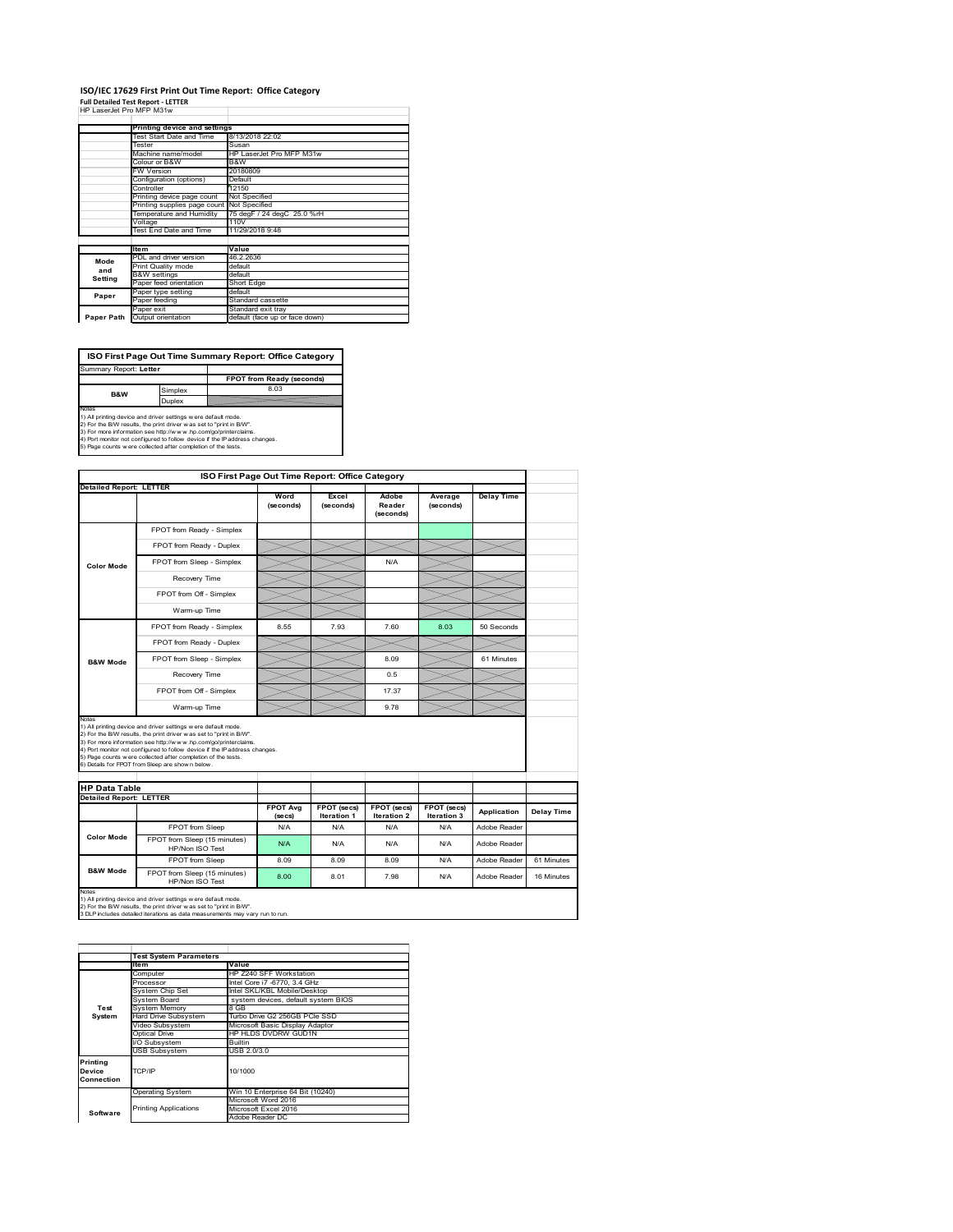## **ISO/IEC 17629 First Print Out Time Report: Office Category**

| <b>Full Detailed Test Report - LETTER</b> |
|-------------------------------------------|
| HP LaserJet Pro MFP M31w                  |

|            | Printing device and settings               |                                |
|------------|--------------------------------------------|--------------------------------|
|            | Test Start Date and Time                   | 8/13/2018 22:02                |
|            | Tester                                     | Susan                          |
|            | Machine name/model                         | HP LaserJet Pro MFP M31w       |
|            | Colour or B&W                              | B&W                            |
|            | <b>FW Version</b>                          | 20180809                       |
|            | Configuration (options)                    | Default                        |
|            | Controller                                 | 12150                          |
|            | Printing device page count                 | Not Specified                  |
|            | Printing supplies page count Not Specified |                                |
|            | Temperature and Humidity                   | 75 degF / 24 degC 25.0 %rH     |
|            | Voltage                                    | 110V                           |
|            | Test End Date and Time                     | 11/29/2018 9:48                |
|            |                                            |                                |
|            | <b>Item</b>                                | Value                          |
| Mode       | PDL and driver version                     | 46.2.2636                      |
| and        | Print Quality mode                         | default                        |
| Setting    | <b>B&amp;W</b> settings                    | default                        |
|            | Paper feed orientation                     | Short Edge                     |
| Paper      | Paper type setting                         | default                        |
|            | Paper feeding                              | Standard cassette              |
|            | Paper exit                                 | Standard exit tray             |
| Paper Path | Output orientation                         | default (face up or face down) |

**FPOT from Ready (seconds)**<br>Simplex 8.03 **ISO First Page Out Time Summary Report: Office Category** rt: **Letter** 

**B&W**

**Duplex**<br>Notes<br>1) All printing device and driver settings were default mode.<br>2) For the BM results, the print driver was set to "print in BM".<br>4) For more information see http://www.hp.com/golprinterclaims.<br>4) Port monitor

| <b>Detailed Report: LETTER</b>                                                       |                                                                                                                                                                                                                                                                                                                                                                                                             |                            | ISO First Page Out Time Report: Office Category |                              |                            |                   |            |
|--------------------------------------------------------------------------------------|-------------------------------------------------------------------------------------------------------------------------------------------------------------------------------------------------------------------------------------------------------------------------------------------------------------------------------------------------------------------------------------------------------------|----------------------------|-------------------------------------------------|------------------------------|----------------------------|-------------------|------------|
|                                                                                      |                                                                                                                                                                                                                                                                                                                                                                                                             | Word<br>(seconds)          | Excel<br>(seconds)                              | Adobe<br>Reader<br>(seconds) | Average<br>(seconds)       | <b>Delay Time</b> |            |
|                                                                                      | FPOT from Ready - Simplex                                                                                                                                                                                                                                                                                                                                                                                   |                            |                                                 |                              |                            |                   |            |
|                                                                                      | FPOT from Ready - Duplex                                                                                                                                                                                                                                                                                                                                                                                    |                            |                                                 |                              |                            |                   |            |
| <b>Color Mode</b>                                                                    | FPOT from Sleep - Simplex                                                                                                                                                                                                                                                                                                                                                                                   |                            |                                                 | N/A                          |                            |                   |            |
|                                                                                      | Recovery Time                                                                                                                                                                                                                                                                                                                                                                                               |                            |                                                 |                              |                            |                   |            |
|                                                                                      | FPOT from Off - Simplex                                                                                                                                                                                                                                                                                                                                                                                     |                            |                                                 |                              |                            |                   |            |
|                                                                                      | Warm-up Time                                                                                                                                                                                                                                                                                                                                                                                                |                            |                                                 |                              |                            |                   |            |
|                                                                                      | FPOT from Ready - Simplex                                                                                                                                                                                                                                                                                                                                                                                   | 8.55                       | 7.93                                            | 7.60                         | 8.03                       | 50 Seconds        |            |
|                                                                                      | FPOT from Ready - Duplex                                                                                                                                                                                                                                                                                                                                                                                    |                            |                                                 |                              |                            |                   |            |
| <b>B&amp;W Mode</b>                                                                  | FPOT from Sleep - Simplex                                                                                                                                                                                                                                                                                                                                                                                   |                            |                                                 | 8.09                         |                            | 61 Minutes        |            |
|                                                                                      | Recovery Time                                                                                                                                                                                                                                                                                                                                                                                               |                            |                                                 | 0.5                          |                            |                   |            |
|                                                                                      | FPOT from Off - Simplex                                                                                                                                                                                                                                                                                                                                                                                     |                            |                                                 | 17.37                        |                            |                   |            |
|                                                                                      | Warm-up Time                                                                                                                                                                                                                                                                                                                                                                                                |                            |                                                 |                              |                            |                   |            |
|                                                                                      |                                                                                                                                                                                                                                                                                                                                                                                                             |                            |                                                 | 9.78                         |                            |                   |            |
|                                                                                      | 1) All printing device and driver settings w ere default mode.<br>2) For the B/W results, the print driver was set to "print in B/W".<br>3) For more information see http://www.hp.com/go/printerclaims.<br>4) Port monitor not configured to follow device if the IP address changes.<br>5) Page counts w ere collected after completion of the tests.<br>6) Details for FPOT from Sleep are show n below. |                            |                                                 |                              |                            |                   |            |
|                                                                                      |                                                                                                                                                                                                                                                                                                                                                                                                             |                            |                                                 |                              |                            |                   |            |
|                                                                                      |                                                                                                                                                                                                                                                                                                                                                                                                             | <b>FPOT Avg</b><br>(se cs) | FPOT (secs)<br>Iteration 1                      | FPOT (secs)<br>Iteration 2   | FPOT (secs)<br>Iteration 3 | Application       | Delay Time |
|                                                                                      | FPOT from Sleep                                                                                                                                                                                                                                                                                                                                                                                             | N/A                        | N/A                                             | N/A                          | N/A                        | Adobe Reader      |            |
| Notes<br><b>HP Data Table</b><br><b>Detailed Report: LETTER</b><br><b>Color Mode</b> | FPOT from Sleep (15 minutes)<br>HP/Non ISO Test                                                                                                                                                                                                                                                                                                                                                             | N/A                        | N/A                                             | N/A                          | N/A                        | Adobe Reader      |            |
|                                                                                      | FPOT from Sleep                                                                                                                                                                                                                                                                                                                                                                                             | 8.09                       | 8.09                                            | 8.09                         | N/A                        | Adobe Reader      | 61 Minutes |

1) All printing device and driver settings w ere default mode.<br>2) For the B/W results, the print driver w as set to "print in B/W".<br>3 DLP includes detailed iterations as data measurements may vary run to run.

|            | <b>Test System Parameters</b> |                                     |
|------------|-------------------------------|-------------------------------------|
|            | Item                          | Value                               |
|            | Computer                      | HP Z240 SFF Workstation             |
|            | Processor                     | Intel Core i7 -6770, 3.4 GHz        |
|            | System Chip Set               | Intel SKL/KBL Mobile/Desktop        |
|            | System Board                  | system devices, default system BIOS |
| Test       | <b>System Memory</b>          | 8 GB                                |
| System     | <b>Hard Drive Subsystem</b>   | Turbo Drive G2 256GB PCle SSD       |
|            | Video Subsystem               | Microsoft Basic Display Adaptor     |
|            | Optical Drive                 | HP HLDS DVDRW GUD1N                 |
|            | I/O Subsystem                 | Builtin                             |
|            | <b>USB Subsystem</b>          | USB 2.0/3.0                         |
| Printing   |                               |                                     |
| Device     | TCP/IP                        | 10/1000                             |
| Connection |                               |                                     |
|            |                               |                                     |
|            | <b>Operating System</b>       | Win 10 Enterprise 64 Bit (10240)    |
|            |                               | Microsoft Word 2016                 |
| Software   | <b>Printing Applications</b>  | Microsoft Excel 2016                |
|            |                               | Adobe Reader DC                     |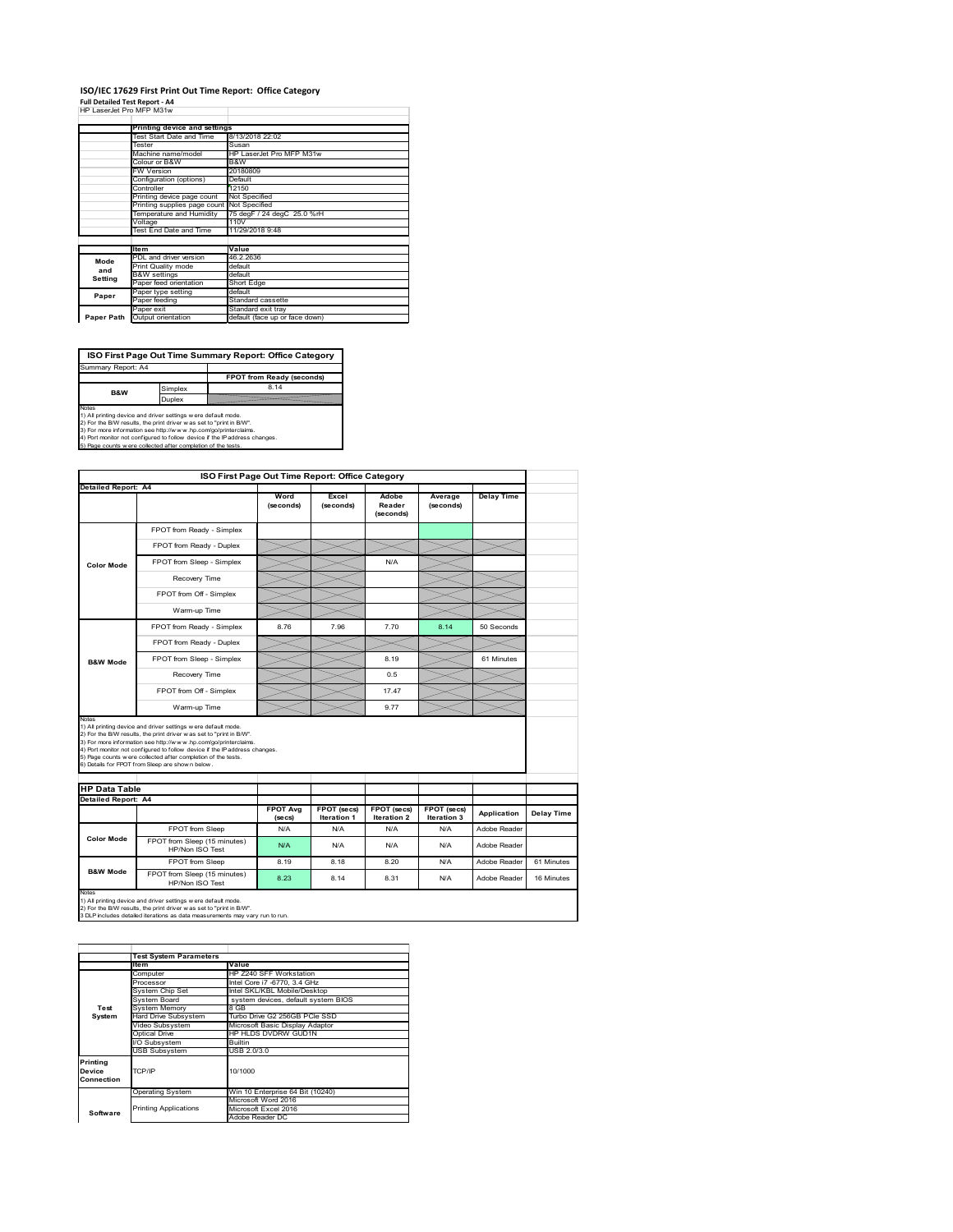#### **ISO/IEC 17629 First Print Out Time Report: Office Category Full Detailed Test Report ‐ A4**

|  | HP LaserJet Pro MFP M31w |  |  |
|--|--------------------------|--|--|

|            | Printing device and settings               |                                |
|------------|--------------------------------------------|--------------------------------|
|            | Test Start Date and Time                   | 8/13/2018 22:02                |
|            | Tester                                     | Susan                          |
|            | Machine name/model                         | HP LaserJet Pro MFP M31w       |
|            | Colour or B&W                              | B&W                            |
|            | <b>FW Version</b>                          | 20180809                       |
|            | Configuration (options)                    | Default                        |
|            | Controller                                 | 12150                          |
|            | Printing device page count                 | Not Specified                  |
|            | Printing supplies page count Not Specified |                                |
|            | Temperature and Humidity                   | 75 degF / 24 degC 25.0 %rH     |
|            | Voltage                                    | 110V                           |
|            | Test End Date and Time                     | 11/29/2018 9:48                |
|            |                                            |                                |
|            | <b>Item</b>                                | Value                          |
| Mode       | PDL and driver version                     | 46.2.2636                      |
| and        | Print Quality mode                         | default                        |
|            | <b>B&amp;W</b> settings                    | default                        |
| Setting    | Paper feed orientation                     | Short Edge                     |
| Paper      | Paper type setting                         | default                        |
|            | Paper feeding                              | Standard cassette              |
|            | Paper exit                                 | Standard exit tray             |
| Paper Path | Output orientation                         | default (face up or face down) |

**ISO First Page Out Time Summary Report: Office Category**

**FPOT from Ready (seconds)** Simplex 8.14 Duplex Notes<br>1) All printing device and driver settings were default mode.<br>2) For the BAV results, the print driver was set to "print in BAV".<br>3) For more information see http://www.hp.com/golprinterclaims.<br>4) Port monitor not co Summary Report: A4 **B&W**

|                                             |                                                                                                                                                                                                                                                                                                                                                                                                             | ISO First Page Out Time Report: Office Category |                           |                              |                      |                   |                   |
|---------------------------------------------|-------------------------------------------------------------------------------------------------------------------------------------------------------------------------------------------------------------------------------------------------------------------------------------------------------------------------------------------------------------------------------------------------------------|-------------------------------------------------|---------------------------|------------------------------|----------------------|-------------------|-------------------|
| Detailed Report: A4                         |                                                                                                                                                                                                                                                                                                                                                                                                             | Word<br>(seconds)                               | Excel<br>(seconds)        | Adobe<br>Reader<br>(seconds) | Average<br>(seconds) | <b>Delay Time</b> |                   |
|                                             | FPOT from Ready - Simplex                                                                                                                                                                                                                                                                                                                                                                                   |                                                 |                           |                              |                      |                   |                   |
|                                             | FPOT from Ready - Duplex                                                                                                                                                                                                                                                                                                                                                                                    |                                                 |                           |                              |                      |                   |                   |
| <b>Color Mode</b>                           | FPOT from Sleep - Simplex                                                                                                                                                                                                                                                                                                                                                                                   |                                                 |                           | N/A                          |                      |                   |                   |
|                                             | Recovery Time                                                                                                                                                                                                                                                                                                                                                                                               |                                                 |                           |                              |                      |                   |                   |
|                                             | FPOT from Off - Simplex                                                                                                                                                                                                                                                                                                                                                                                     |                                                 |                           |                              |                      |                   |                   |
|                                             | Warm-up Time                                                                                                                                                                                                                                                                                                                                                                                                |                                                 |                           |                              |                      |                   |                   |
|                                             | FPOT from Ready - Simplex                                                                                                                                                                                                                                                                                                                                                                                   | 8.76                                            | 7.96                      | 7.70                         | 8.14                 | 50 Seconds        |                   |
|                                             | FPOT from Ready - Duplex                                                                                                                                                                                                                                                                                                                                                                                    |                                                 |                           |                              |                      |                   |                   |
| <b>B&amp;W Mode</b>                         | FPOT from Sleep - Simplex                                                                                                                                                                                                                                                                                                                                                                                   |                                                 |                           | 8.19                         |                      | 61 Minutes        |                   |
|                                             |                                                                                                                                                                                                                                                                                                                                                                                                             |                                                 |                           |                              |                      |                   |                   |
|                                             | Recovery Time                                                                                                                                                                                                                                                                                                                                                                                               |                                                 |                           | 0.5                          |                      |                   |                   |
|                                             | FPOT from Off - Simplex                                                                                                                                                                                                                                                                                                                                                                                     |                                                 |                           | 1747                         |                      |                   |                   |
| Notes                                       | Warm-up Time                                                                                                                                                                                                                                                                                                                                                                                                |                                                 |                           | 9.77                         |                      |                   |                   |
| <b>HP Data Table</b><br>Detailed Report: A4 | 1) All printing device and driver settings w ere default mode.<br>2) For the B/W results, the print driver was set to "print in B/W".<br>3) For more information see http://www.hp.com/go/printerclaims.<br>4) Port monitor not configured to follow device if the IP address changes.<br>5) Page counts w ere collected after completion of the tests.<br>6) Details for FPOT from Sleep are show n below. |                                                 |                           |                              |                      |                   |                   |
|                                             |                                                                                                                                                                                                                                                                                                                                                                                                             | <b>FPOT Avg</b>                                 | FPOT (secs)               | FPOT (secs)                  | FPOT (secs)          | Application       | <b>Delay Time</b> |
|                                             | FPOT from Sleep                                                                                                                                                                                                                                                                                                                                                                                             | (se cs)<br>N/A                                  | <b>Iteration 1</b><br>N/A | Iteration 2<br>N/A           | Iteration 3<br>N/A   | Adobe Reader      |                   |
| <b>Color Mode</b>                           | FPOT from Sleep (15 minutes)<br>HP/Non ISO Test                                                                                                                                                                                                                                                                                                                                                             | N/A                                             | N/A                       | N/A                          | N/A                  | Adobe Reader      |                   |
| <b>B&amp;W Mode</b>                         | FPOT from Sleep                                                                                                                                                                                                                                                                                                                                                                                             | 8.19                                            | 8.18                      | 8.20                         | N/A                  | Adobe Reader      | 61 Minutes        |

1) All printing device and driver settings w ere default mode.<br>2) For the B/W results, the print driver w as set to "print in B/W".<br>3 DLP includes detailed iterations as data measurements may vary run to run.

|            | <b>Test System Parameters</b> |                                     |
|------------|-------------------------------|-------------------------------------|
|            | Item                          | Value                               |
|            | Computer                      | HP Z240 SFF Workstation             |
|            | Processor                     | Intel Core i7 -6770, 3.4 GHz        |
|            | System Chip Set               | Intel SKL/KBL Mobile/Desktop        |
|            | System Board                  | system devices, default system BIOS |
| Test       | <b>System Memory</b>          | 8 GB                                |
| System     | Hard Drive Subsystem          | Turbo Drive G2 256GB PCle SSD       |
|            | Video Subsystem               | Microsoft Basic Display Adaptor     |
|            | Optical Drive                 | HP HLDS DVDRW GUD1N                 |
|            | I/O Subsystem                 | <b>Builtin</b>                      |
|            | <b>USB Subsystem</b>          | USB 2.0/3.0                         |
| Printing   |                               |                                     |
| Device     | TCP/IP                        | 10/1000                             |
| Connection |                               |                                     |
|            |                               |                                     |
|            | <b>Operating System</b>       | Win 10 Enterprise 64 Bit (10240)    |
|            |                               | Microsoft Word 2016                 |
| Software   | <b>Printing Applications</b>  | Microsoft Excel 2016                |
|            |                               | Adobe Reader DC                     |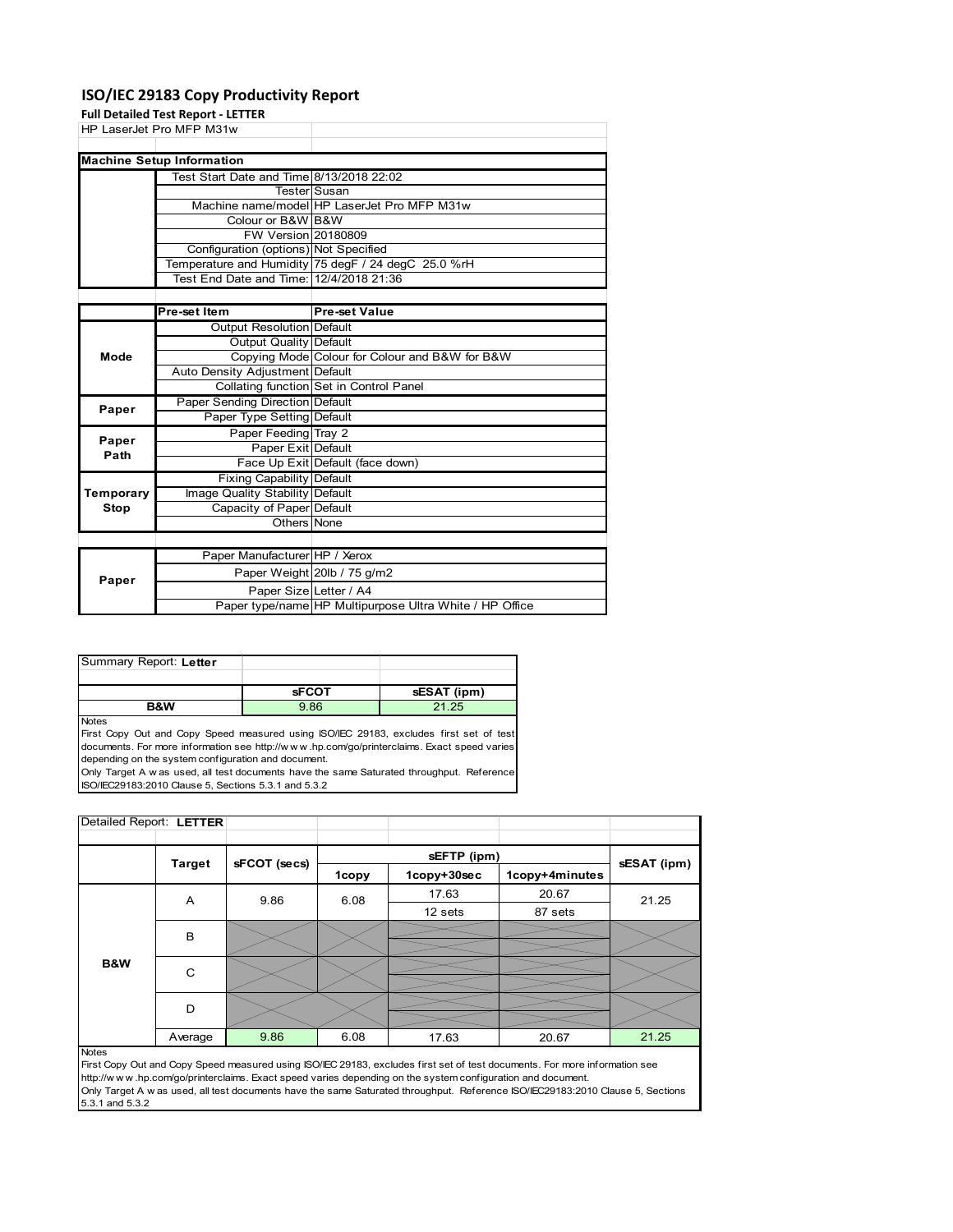### **ISO/IEC 29183 Copy Productivity Report**

**Full Detailed Test Report ‐ LETTER**

|             | Fuil Detailed Test Report - LETTER       |                                                     |
|-------------|------------------------------------------|-----------------------------------------------------|
|             | HP LaserJet Pro MFP M31w                 |                                                     |
|             |                                          |                                                     |
|             | <b>Machine Setup Information</b>         |                                                     |
|             | Test Start Date and Time 8/13/2018 22:02 |                                                     |
|             |                                          | TesterlSusan                                        |
|             |                                          | Machine name/model HP LaserJet Pro MFP M31w         |
|             | Colour or B&W B&W                        |                                                     |
|             | FW Version 20180809                      |                                                     |
|             | Configuration (options) Not Specified    |                                                     |
|             |                                          | Temperature and Humidity 75 degF / 24 degC 25.0 %rH |
|             | Test End Date and Time: 12/4/2018 21:36  |                                                     |
|             |                                          |                                                     |
|             | Pre-set Item                             | <b>Pre-set Value</b>                                |
|             | Output Resolution Default                |                                                     |
|             | Output Quality Default                   |                                                     |
| Mode        |                                          | Copying Mode Colour for Colour and B&W for B&W      |
|             | Auto Density Adjustment Default          |                                                     |
|             |                                          | Collating function Set in Control Panel             |
| Paper       | Paper Sending Direction Default          |                                                     |
|             | Paper Type Setting Default               |                                                     |
| Paper       | Paper Feeding Tray 2                     |                                                     |
| Path        | Paper Exit Default                       |                                                     |
|             |                                          | Face Up Exit Default (face down)                    |
|             | <b>Fixing Capability Default</b>         |                                                     |
| Temporary   | Image Quality Stability Default          |                                                     |
| <b>Stop</b> | Capacity of Paper Default                |                                                     |
|             | Others None                              |                                                     |
|             |                                          |                                                     |
|             | Paper Manufacturer HP / Xerox            |                                                     |
|             |                                          |                                                     |

|       | Paper Manufacturer HP / Aerox |                                                         |
|-------|-------------------------------|---------------------------------------------------------|
| Paper |                               | Paper Weight 20lb / 75 g/m2                             |
|       | Paper SizelLetter / A4        |                                                         |
|       |                               | Paper type/name HP Multipurpose Ultra White / HP Office |
|       |                               |                                                         |

| Summary Report: Letter |              |             |
|------------------------|--------------|-------------|
|                        |              |             |
|                        |              |             |
|                        | <b>SFCOT</b> | sESAT (ipm) |

Notes

First Copy Out and Copy Speed measured using ISO/IEC 29183, excludes first set of test documents. For more information see http://w w w .hp.com/go/printerclaims. Exact speed varies depending on the system configuration and document.

Only Target A w as used, all test documents have the same Saturated throughput. Reference ISO/IEC29183:2010 Clause 5, Sections 5.3.1 and 5.3.2

| Detailed Report: LETTER |               |              |              |             |                |             |
|-------------------------|---------------|--------------|--------------|-------------|----------------|-------------|
|                         |               |              |              |             |                |             |
|                         | <b>Target</b> | sFCOT (secs) |              | sEFTP (ipm) |                | sESAT (ipm) |
|                         |               |              | <b>1copy</b> | 1copy+30sec | 1copy+4minutes |             |
|                         | Α             | 9.86         | 6.08         | 17.63       | 20.67          | 21.25       |
|                         |               |              |              | 12 sets     | 87 sets        |             |
|                         | B             |              |              |             |                |             |
|                         |               |              |              |             |                |             |
| B&W                     | C             |              |              |             |                |             |
|                         |               |              |              |             |                |             |
|                         | D             |              |              |             |                |             |
|                         |               |              |              |             |                |             |
|                         | Average       | 9.86         | 6.08         | 17.63       | 20.67          | 21.25       |

#### Notes

First Copy Out and Copy Speed measured using ISO/IEC 29183, excludes first set of test documents. For more information see http://w w w .hp.com/go/printerclaims. Exact speed varies depending on the system configuration and document. Only Target A w as used, all test documents have the same Saturated throughput. Reference ISO/IEC29183:2010 Clause 5, Sections 5.3.1 and 5.3.2